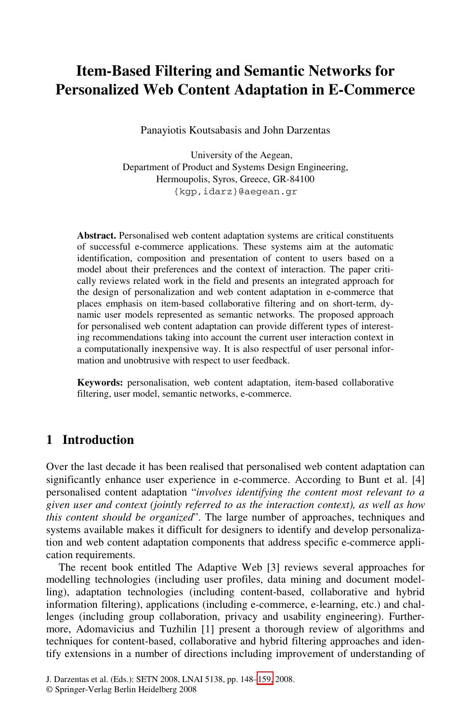# **Item-Based Filtering and Semantic Networks for Personalized Web Content Adaptation in E-Commerce**

Panayiotis Koutsabasis and John Darzentas

University of the Aegean, Department of Product and Systems Design Engineering, Hermoupolis, Syros, Greece, GR-84100 {kgp,idarz}@aegean.gr

**Abstract.** Personalised web content adaptation systems are critical constituents of successful e-commerce applications. These systems aim at the automatic identification, composition and presentation of content to users based on a model about their preferences and the context of interaction. The paper critically reviews related work in the field and presents an integrated approach for the design of personalization and web content adaptation in e-commerce that places emphasis on item-based collaborative filtering and on short-term, dynamic user models represented as semantic networks. The proposed approach for personalised web content adaptation can provide different types of interesting recommendations taking into account the current user interaction context in a computationally inexpensive way. It is also respectful of user personal information and unobtrusive with respect to user feedback.

**Keywords:** personalisation, web content adaptation, item-based collaborative filtering, user model, semantic networks, e-commerce.

## **1 Introduction**

Over the last decade it has been realised that personalised web content adaptation can significantly enhance user experience in e-commerce. According to Bunt et al. [4] personalised content adaptation "*involves identifying the content most relevant to a given user and context (jointly referred to as the interaction context), as well as how this content should be organized*". The large number of approaches, techniques and systems available makes it difficult for designers to identify and develop personalization and web content adaptation components that address specific e-commerce application requirements.

The recent book entitled The Adaptive Web [3] reviews several approaches for modelling technologies (i[nclud](#page-11-0)ing user profiles, data mining and document modelling), adaptation technologies (including content-based, collaborative and hybrid information filtering), applications (including e-commerce, e-learning, etc.) and challenges (including group collaboration, privacy and usability engineering). Furthermore, Adomavicius and Tuzhilin [1] present a thorough review of algorithms and techniques for content-based, collaborative and hybrid filtering approaches and identify extensions in a number of directions including improvement of understanding of

J. Darzentas et al. (Eds.): SETN 2008, LNAI 5138, pp. 148–159, 2008.

<sup>©</sup> Springer-Verlag Berlin Heidelberg 2008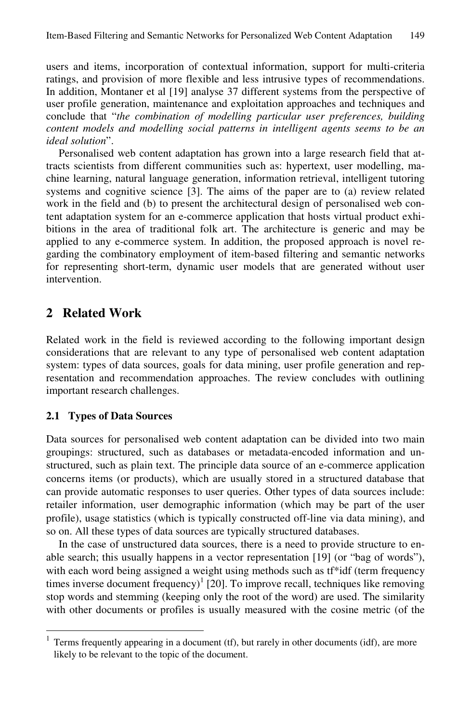users and items, incorporation of contextual information, support for multi-criteria ratings, and provision of more flexible and less intrusive types of recommendations. In addition, Montaner et al [19] analyse 37 different systems from the perspective of user profile generation, maintenance and exploitation approaches and techniques and conclude that "*the combination of modelling particular user preferences, building content models and modelling social patterns in intelligent agents seems to be an ideal solution*".

Personalised web content adaptation has grown into a large research field that attracts scientists from different communities such as: hypertext, user modelling, machine learning, natural language generation, information retrieval, intelligent tutoring systems and cognitive science [3]. The aims of the paper are to (a) review related work in the field and (b) to present the architectural design of personalised web content adaptation system for an e-commerce application that hosts virtual product exhibitions in the area of traditional folk art. The architecture is generic and may be applied to any e-commerce system. In addition, the proposed approach is novel regarding the combinatory employment of item-based filtering and semantic networks for representing short-term, dynamic user models that are generated without user intervention.

# **2 Related Work**

Related work in the field is reviewed according to the following important design considerations that are relevant to any type of personalised web content adaptation system: types of data sources, goals for data mining, user profile generation and representation and recommendation approaches. The review concludes with outlining important research challenges.

#### **2.1 Types of Data Sources**

l

Data sources for personalised web content adaptation can be divided into two main groupings: structured, such as databases or metadata-encoded information and unstructured, such as plain text. The principle data source of an e-commerce application concerns items (or products), which are usually stored in a structured database that can provide automatic responses to user queries. Other types of data sources include: retailer information, user demographic information (which may be part of the user profile), usage statistics (which is typically constructed off-line via data mining), and so on. All these types of data sources are typically structured databases.

In the case of unstructured data sources, there is a need to provide structure to enable search; this usually happens in a vector representation [19] (or "bag of words"), with each word being assigned a weight using methods such as tf\*idf (term frequency times inverse document frequency $1$ <sup>1</sup> [20]. To improve recall, techniques like removing stop words and stemming (keeping only the root of the word) are used. The similarity with other documents or profiles is usually measured with the cosine metric (of the

 $1$  Terms frequently appearing in a document (tf), but rarely in other documents (idf), are more likely to be relevant to the topic of the document.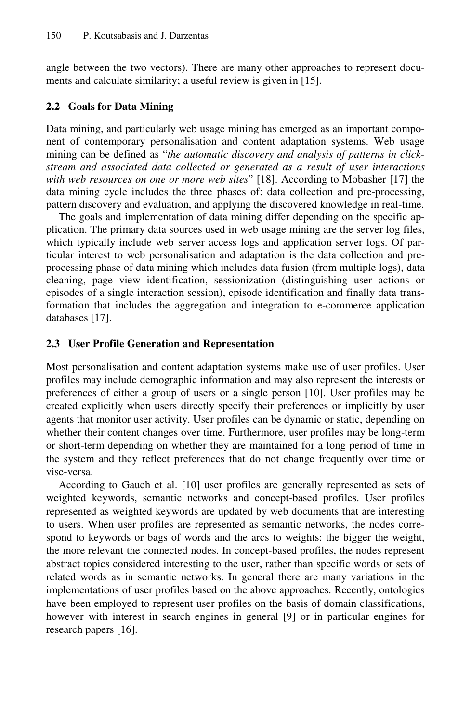angle between the two vectors). There are many other approaches to represent documents and calculate similarity; a useful review is given in [15].

#### **2.2 Goals for Data Mining**

Data mining, and particularly web usage mining has emerged as an important component of contemporary personalisation and content adaptation systems. Web usage mining can be defined as "*the automatic discovery and analysis of patterns in clickstream and associated data collected or generated as a result of user interactions with web resources on one or more web sites*" [18]. According to Mobasher [17] the data mining cycle includes the three phases of: data collection and pre-processing, pattern discovery and evaluation, and applying the discovered knowledge in real-time.

The goals and implementation of data mining differ depending on the specific application. The primary data sources used in web usage mining are the server log files, which typically include web server access logs and application server logs. Of particular interest to web personalisation and adaptation is the data collection and preprocessing phase of data mining which includes data fusion (from multiple logs), data cleaning, page view identification, sessionization (distinguishing user actions or episodes of a single interaction session), episode identification and finally data transformation that includes the aggregation and integration to e-commerce application databases [17].

#### **2.3 User Profile Generation and Representation**

Most personalisation and content adaptation systems make use of user profiles. User profiles may include demographic information and may also represent the interests or preferences of either a group of users or a single person [10]. User profiles may be created explicitly when users directly specify their preferences or implicitly by user agents that monitor user activity. User profiles can be dynamic or static, depending on whether their content changes over time. Furthermore, user profiles may be long-term or short-term depending on whether they are maintained for a long period of time in the system and they reflect preferences that do not change frequently over time or vise-versa.

According to Gauch et al. [10] user profiles are generally represented as sets of weighted keywords, semantic networks and concept-based profiles. User profiles represented as weighted keywords are updated by web documents that are interesting to users. When user profiles are represented as semantic networks, the nodes correspond to keywords or bags of words and the arcs to weights: the bigger the weight, the more relevant the connected nodes. In concept-based profiles, the nodes represent abstract topics considered interesting to the user, rather than specific words or sets of related words as in semantic networks. In general there are many variations in the implementations of user profiles based on the above approaches. Recently, ontologies have been employed to represent user profiles on the basis of domain classifications, however with interest in search engines in general [9] or in particular engines for research papers [16].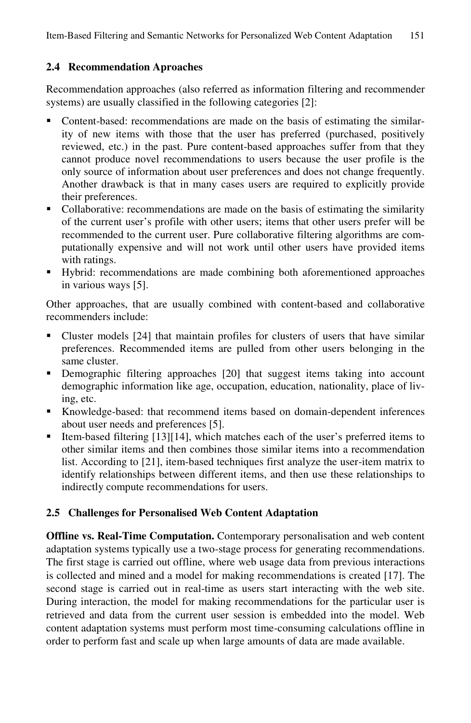## **2.4 Recommendation Aproaches**

Recommendation approaches (also referred as information filtering and recommender systems) are usually classified in the following categories [2]:

- Content-based: recommendations are made on the basis of estimating the similarity of new items with those that the user has preferred (purchased, positively reviewed, etc.) in the past. Pure content-based approaches suffer from that they cannot produce novel recommendations to users because the user profile is the only source of information about user preferences and does not change frequently. Another drawback is that in many cases users are required to explicitly provide their preferences.
- Collaborative: recommendations are made on the basis of estimating the similarity of the current user's profile with other users; items that other users prefer will be recommended to the current user. Pure collaborative filtering algorithms are computationally expensive and will not work until other users have provided items with ratings.
- Hybrid: recommendations are made combining both aforementioned approaches in various ways [5].

Other approaches, that are usually combined with content-based and collaborative recommenders include:

- Cluster models [24] that maintain profiles for clusters of users that have similar preferences. Recommended items are pulled from other users belonging in the same cluster.
- Demographic filtering approaches [20] that suggest items taking into account demographic information like age, occupation, education, nationality, place of living, etc.
- Knowledge-based: that recommend items based on domain-dependent inferences about user needs and preferences [5].
- Item-based filtering [13][14], which matches each of the user's preferred items to other similar items and then combines those similar items into a recommendation list. According to [21], item-based techniques first analyze the user-item matrix to identify relationships between different items, and then use these relationships to indirectly compute recommendations for users.

## **2.5 Challenges for Personalised Web Content Adaptation**

**Offline vs. Real-Time Computation.** Contemporary personalisation and web content adaptation systems typically use a two-stage process for generating recommendations. The first stage is carried out offline, where web usage data from previous interactions is collected and mined and a model for making recommendations is created [17]. The second stage is carried out in real-time as users start interacting with the web site. During interaction, the model for making recommendations for the particular user is retrieved and data from the current user session is embedded into the model. Web content adaptation systems must perform most time-consuming calculations offline in order to perform fast and scale up when large amounts of data are made available.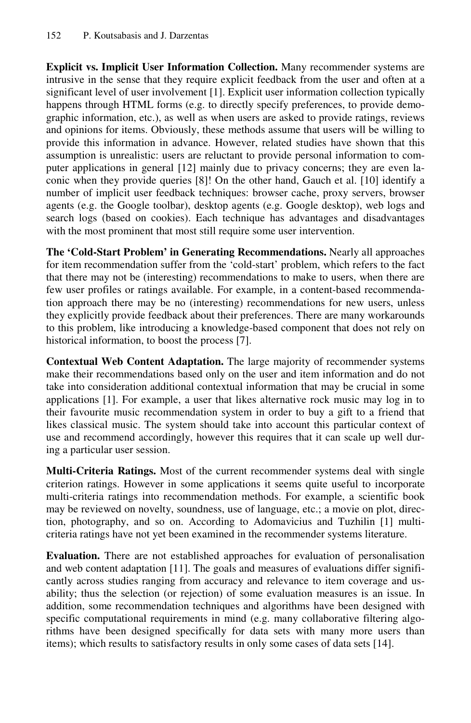**Explicit vs. Implicit User Information Collection.** Many recommender systems are intrusive in the sense that they require explicit feedback from the user and often at a significant level of user involvement [1]. Explicit user information collection typically happens through HTML forms (e.g. to directly specify preferences, to provide demographic information, etc.), as well as when users are asked to provide ratings, reviews and opinions for items. Obviously, these methods assume that users will be willing to provide this information in advance. However, related studies have shown that this assumption is unrealistic: users are reluctant to provide personal information to computer applications in general [12] mainly due to privacy concerns; they are even laconic when they provide queries [8]! On the other hand, Gauch et al. [10] identify a number of implicit user feedback techniques: browser cache, proxy servers, browser agents (e.g. the Google toolbar), desktop agents (e.g. Google desktop), web logs and search logs (based on cookies). Each technique has advantages and disadvantages with the most prominent that most still require some user intervention.

**The 'Cold-Start Problem' in Generating Recommendations.** Nearly all approaches for item recommendation suffer from the 'cold-start' problem, which refers to the fact that there may not be (interesting) recommendations to make to users, when there are few user profiles or ratings available. For example, in a content-based recommendation approach there may be no (interesting) recommendations for new users, unless they explicitly provide feedback about their preferences. There are many workarounds to this problem, like introducing a knowledge-based component that does not rely on historical information, to boost the process [7].

**Contextual Web Content Adaptation.** The large majority of recommender systems make their recommendations based only on the user and item information and do not take into consideration additional contextual information that may be crucial in some applications [1]. For example, a user that likes alternative rock music may log in to their favourite music recommendation system in order to buy a gift to a friend that likes classical music. The system should take into account this particular context of use and recommend accordingly, however this requires that it can scale up well during a particular user session.

**Multi-Criteria Ratings.** Most of the current recommender systems deal with single criterion ratings. However in some applications it seems quite useful to incorporate multi-criteria ratings into recommendation methods. For example, a scientific book may be reviewed on novelty, soundness, use of language, etc.; a movie on plot, direction, photography, and so on. According to Adomavicius and Tuzhilin [1] multicriteria ratings have not yet been examined in the recommender systems literature.

**Evaluation.** There are not established approaches for evaluation of personalisation and web content adaptation [11]. The goals and measures of evaluations differ significantly across studies ranging from accuracy and relevance to item coverage and usability; thus the selection (or rejection) of some evaluation measures is an issue. In addition, some recommendation techniques and algorithms have been designed with specific computational requirements in mind (e.g. many collaborative filtering algorithms have been designed specifically for data sets with many more users than items); which results to satisfactory results in only some cases of data sets [14].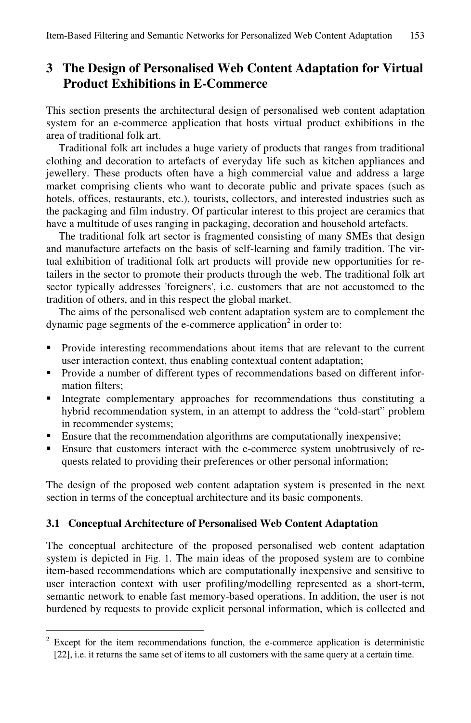# **3 The Design of Personalised Web Content Adaptation for Virtual Product Exhibitions in E-Commerce**

This section presents the architectural design of personalised web content adaptation system for an e-commerce application that hosts virtual product exhibitions in the area of traditional folk art.

Traditional folk art includes a huge variety of products that ranges from traditional clothing and decoration to artefacts of everyday life such as kitchen appliances and jewellery. These products often have a high commercial value and address a large market comprising clients who want to decorate public and private spaces (such as hotels, offices, restaurants, etc.), tourists, collectors, and interested industries such as the packaging and film industry. Of particular interest to this project are ceramics that have a multitude of uses ranging in packaging, decoration and household artefacts.

The traditional folk art sector is fragmented consisting of many SMEs that design and manufacture artefacts on the basis of self-learning and family tradition. The virtual exhibition of traditional folk art products will provide new opportunities for retailers in the sector to promote their products through the web. The traditional folk art sector typically addresses 'foreigners', i.e. customers that are not accustomed to the tradition of others, and in this respect the global market.

The aims of the personalised web content adaptation system are to complement the dynamic page segments of the e-commerce application<sup>2</sup> in order to:

- Provide interesting recommendations about items that are relevant to the current user interaction context, thus enabling contextual content adaptation;
- Provide a number of different types of recommendations based on different information filters;
- Integrate complementary approaches for recommendations thus constituting a hybrid recommendation system, in an attempt to address the "cold-start" problem in recommender systems;
- **Ensure that the recommendation algorithms are computationally inexpensive;**
- Ensure that customers interact with the e-commerce system unobtrusively of requests related to providing their preferences or other personal information;

The design of the proposed web content adaptation system is presented in the next section in terms of the conceptual architecture and its basic components.

#### **3.1 Conceptual Architecture of Personalised Web Content Adaptation**

l

The conceptual architecture of the proposed personalised web content adaptation system is depicted in Fig. 1. The main ideas of the proposed system are to combine item-based recommendations which are computationally inexpensive and sensitive to user interaction context with user profiling/modelling represented as a short-term, semantic network to enable fast memory-based operations. In addition, the user is not burdened by requests to provide explicit personal information, which is collected and

 $2$  Except for the item recommendations function, the e-commerce application is deterministic [22], i.e. it returns the same set of items to all customers with the same query at a certain time.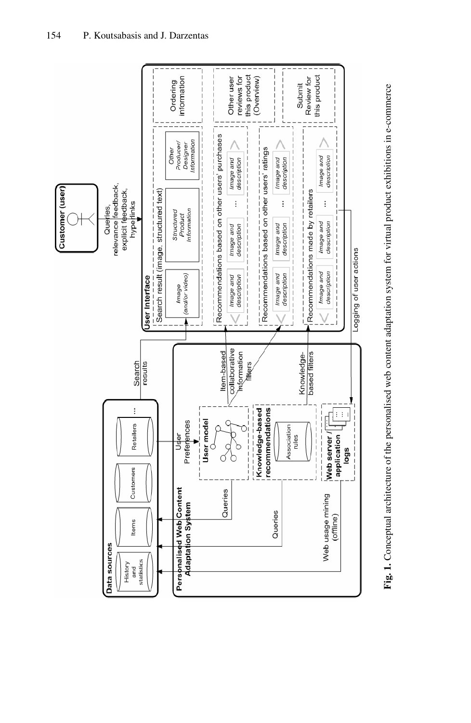

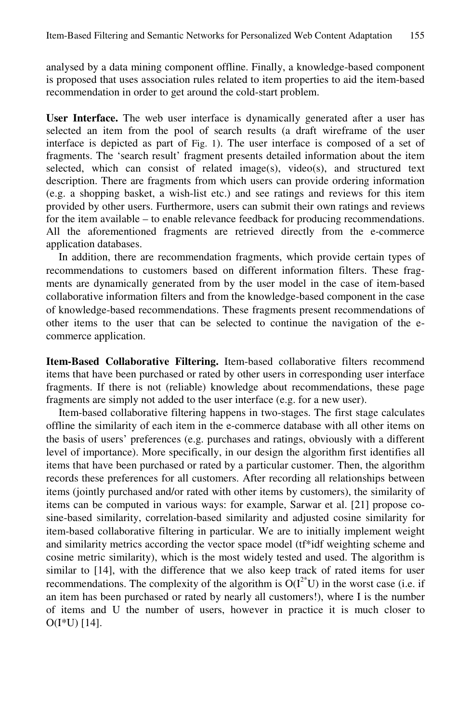analysed by a data mining component offline. Finally, a knowledge-based component is proposed that uses association rules related to item properties to aid the item-based recommendation in order to get around the cold-start problem.

**User Interface.** The web user interface is dynamically generated after a user has selected an item from the pool of search results (a draft wireframe of the user interface is depicted as part of Fig. 1). The user interface is composed of a set of fragments. The 'search result' fragment presents detailed information about the item selected, which can consist of related image(s), video(s), and structured text description. There are fragments from which users can provide ordering information (e.g. a shopping basket, a wish-list etc.) and see ratings and reviews for this item provided by other users. Furthermore, users can submit their own ratings and reviews for the item available – to enable relevance feedback for producing recommendations. All the aforementioned fragments are retrieved directly from the e-commerce application databases.

In addition, there are recommendation fragments, which provide certain types of recommendations to customers based on different information filters. These fragments are dynamically generated from by the user model in the case of item-based collaborative information filters and from the knowledge-based component in the case of knowledge-based recommendations. These fragments present recommendations of other items to the user that can be selected to continue the navigation of the ecommerce application.

**Item-Based Collaborative Filtering.** Item-based collaborative filters recommend items that have been purchased or rated by other users in corresponding user interface fragments. If there is not (reliable) knowledge about recommendations, these page fragments are simply not added to the user interface (e.g. for a new user).

Item-based collaborative filtering happens in two-stages. The first stage calculates offline the similarity of each item in the e-commerce database with all other items on the basis of users' preferences (e.g. purchases and ratings, obviously with a different level of importance). More specifically, in our design the algorithm first identifies all items that have been purchased or rated by a particular customer. Then, the algorithm records these preferences for all customers. After recording all relationships between items (jointly purchased and/or rated with other items by customers), the similarity of items can be computed in various ways: for example, Sarwar et al. [21] propose cosine-based similarity, correlation-based similarity and adjusted cosine similarity for item-based collaborative filtering in particular. We are to initially implement weight and similarity metrics according the vector space model (tf\*idf weighting scheme and cosine metric similarity), which is the most widely tested and used. The algorithm is similar to [14], with the difference that we also keep track of rated items for user recommendations. The complexity of the algorithm is  $O(I^{2*}U)$  in the worst case (i.e. if an item has been purchased or rated by nearly all customers!), where I is the number of items and U the number of users, however in practice it is much closer to O(I\*U) [14].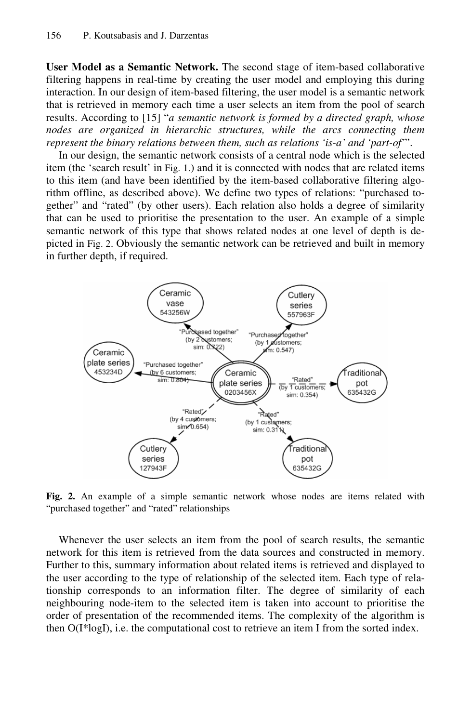**User Model as a Semantic Network.** The second stage of item-based collaborative filtering happens in real-time by creating the user model and employing this during interaction. In our design of item-based filtering, the user model is a semantic network that is retrieved in memory each time a user selects an item from the pool of search results. According to [15] "*a semantic network is formed by a directed graph, whose nodes are organized in hierarchic structures, while the arcs connecting them represent the binary relations between them, such as relations 'is-a' and 'part-of'*".

In our design, the semantic network consists of a central node which is the selected item (the 'search result' in Fig. 1.) and it is connected with nodes that are related items to this item (and have been identified by the item-based collaborative filtering algorithm offline, as described above). We define two types of relations: "purchased together" and "rated" (by other users). Each relation also holds a degree of similarity that can be used to prioritise the presentation to the user. An example of a simple semantic network of this type that shows related nodes at one level of depth is depicted in Fig. 2. Obviously the semantic network can be retrieved and built in memory in further depth, if required.



**Fig. 2.** An example of a simple semantic network whose nodes are items related with "purchased together" and "rated" relationships

Whenever the user selects an item from the pool of search results, the semantic network for this item is retrieved from the data sources and constructed in memory. Further to this, summary information about related items is retrieved and displayed to the user according to the type of relationship of the selected item. Each type of relationship corresponds to an information filter. The degree of similarity of each neighbouring node-item to the selected item is taken into account to prioritise the order of presentation of the recommended items. The complexity of the algorithm is then  $O(I^*log I)$ , i.e. the computational cost to retrieve an item I from the sorted index.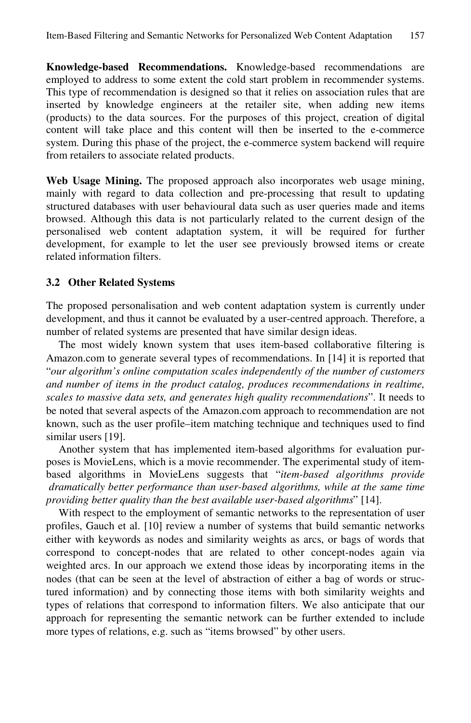**Knowledge-based Recommendations.** Knowledge-based recommendations are employed to address to some extent the cold start problem in recommender systems. This type of recommendation is designed so that it relies on association rules that are inserted by knowledge engineers at the retailer site, when adding new items (products) to the data sources. For the purposes of this project, creation of digital content will take place and this content will then be inserted to the e-commerce system. During this phase of the project, the e-commerce system backend will require from retailers to associate related products.

**Web Usage Mining.** The proposed approach also incorporates web usage mining, mainly with regard to data collection and pre-processing that result to updating structured databases with user behavioural data such as user queries made and items browsed. Although this data is not particularly related to the current design of the personalised web content adaptation system, it will be required for further development, for example to let the user see previously browsed items or create related information filters.

#### **3.2 Other Related Systems**

The proposed personalisation and web content adaptation system is currently under development, and thus it cannot be evaluated by a user-centred approach. Therefore, a number of related systems are presented that have similar design ideas.

The most widely known system that uses item-based collaborative filtering is Amazon.com to generate several types of recommendations. In [14] it is reported that "*our algorithm's online computation scales independently of the number of customers and number of items in the product catalog, produces recommendations in realtime, scales to massive data sets, and generates high quality recommendations*". It needs to be noted that several aspects of the Amazon.com approach to recommendation are not known, such as the user profile–item matching technique and techniques used to find similar users [19].

Another system that has implemented item-based algorithms for evaluation purposes is MovieLens, which is a movie recommender. The experimental study of itembased algorithms in MovieLens suggests that "*item-based algorithms provide dramatically better performance than user-based algorithms, while at the same time providing better quality than the best available user-based algorithms*" [14].

With respect to the employment of semantic networks to the representation of user profiles, Gauch et al. [10] review a number of systems that build semantic networks either with keywords as nodes and similarity weights as arcs, or bags of words that correspond to concept-nodes that are related to other concept-nodes again via weighted arcs. In our approach we extend those ideas by incorporating items in the nodes (that can be seen at the level of abstraction of either a bag of words or structured information) and by connecting those items with both similarity weights and types of relations that correspond to information filters. We also anticipate that our approach for representing the semantic network can be further extended to include more types of relations, e.g. such as "items browsed" by other users.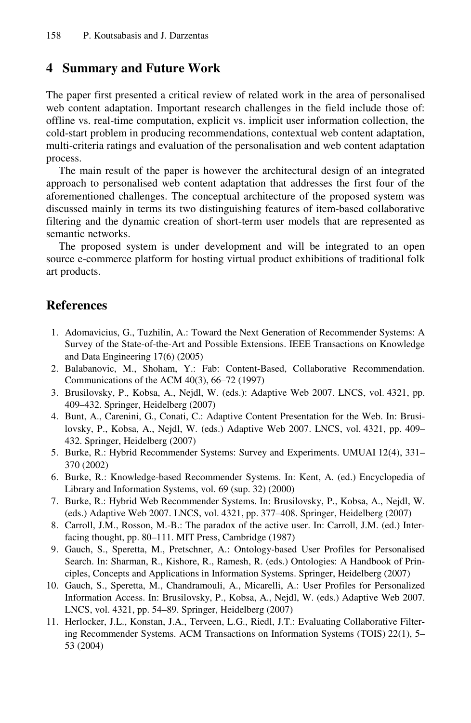# **4 Summary and Future Work**

The paper first presented a critical review of related work in the area of personalised web content adaptation. Important research challenges in the field include those of: offline vs. real-time computation, explicit vs. implicit user information collection, the cold-start problem in producing recommendations, contextual web content adaptation, multi-criteria ratings and evaluation of the personalisation and web content adaptation process.

The main result of the paper is however the architectural design of an integrated approach to personalised web content adaptation that addresses the first four of the aforementioned challenges. The conceptual architecture of the proposed system was discussed mainly in terms its two distinguishing features of item-based collaborative filtering and the dynamic creation of short-term user models that are represented as semantic networks.

The proposed system is under development and will be integrated to an open source e-commerce platform for hosting virtual product exhibitions of traditional folk art products.

# **References**

- 1. Adomavicius, G., Tuzhilin, A.: Toward the Next Generation of Recommender Systems: A Survey of the State-of-the-Art and Possible Extensions. IEEE Transactions on Knowledge and Data Engineering 17(6) (2005)
- 2. Balabanovic, M., Shoham, Y.: Fab: Content-Based, Collaborative Recommendation. Communications of the ACM 40(3), 66–72 (1997)
- 3. Brusilovsky, P., Kobsa, A., Nejdl, W. (eds.): Adaptive Web 2007. LNCS, vol. 4321, pp. 409–432. Springer, Heidelberg (2007)
- 4. Bunt, A., Carenini, G., Conati, C.: Adaptive Content Presentation for the Web. In: Brusilovsky, P., Kobsa, A., Nejdl, W. (eds.) Adaptive Web 2007. LNCS, vol. 4321, pp. 409– 432. Springer, Heidelberg (2007)
- 5. Burke, R.: Hybrid Recommender Systems: Survey and Experiments. UMUAI 12(4), 331– 370 (2002)
- 6. Burke, R.: Knowledge-based Recommender Systems. In: Kent, A. (ed.) Encyclopedia of Library and Information Systems, vol. 69 (sup. 32) (2000)
- 7. Burke, R.: Hybrid Web Recommender Systems. In: Brusilovsky, P., Kobsa, A., Nejdl, W. (eds.) Adaptive Web 2007. LNCS, vol. 4321, pp. 377–408. Springer, Heidelberg (2007)
- 8. Carroll, J.M., Rosson, M.-B.: The paradox of the active user. In: Carroll, J.M. (ed.) Interfacing thought, pp. 80–111. MIT Press, Cambridge (1987)
- 9. Gauch, S., Speretta, M., Pretschner, A.: Ontology-based User Profiles for Personalised Search. In: Sharman, R., Kishore, R., Ramesh, R. (eds.) Ontologies: A Handbook of Principles, Concepts and Applications in Information Systems. Springer, Heidelberg (2007)
- 10. Gauch, S., Speretta, M., Chandramouli, A., Micarelli, A.: User Profiles for Personalized Information Access. In: Brusilovsky, P., Kobsa, A., Nejdl, W. (eds.) Adaptive Web 2007. LNCS, vol. 4321, pp. 54–89. Springer, Heidelberg (2007)
- 11. Herlocker, J.L., Konstan, J.A., Terveen, L.G., Riedl, J.T.: Evaluating Collaborative Filtering Recommender Systems. ACM Transactions on Information Systems (TOIS) 22(1), 5– 53 (2004)